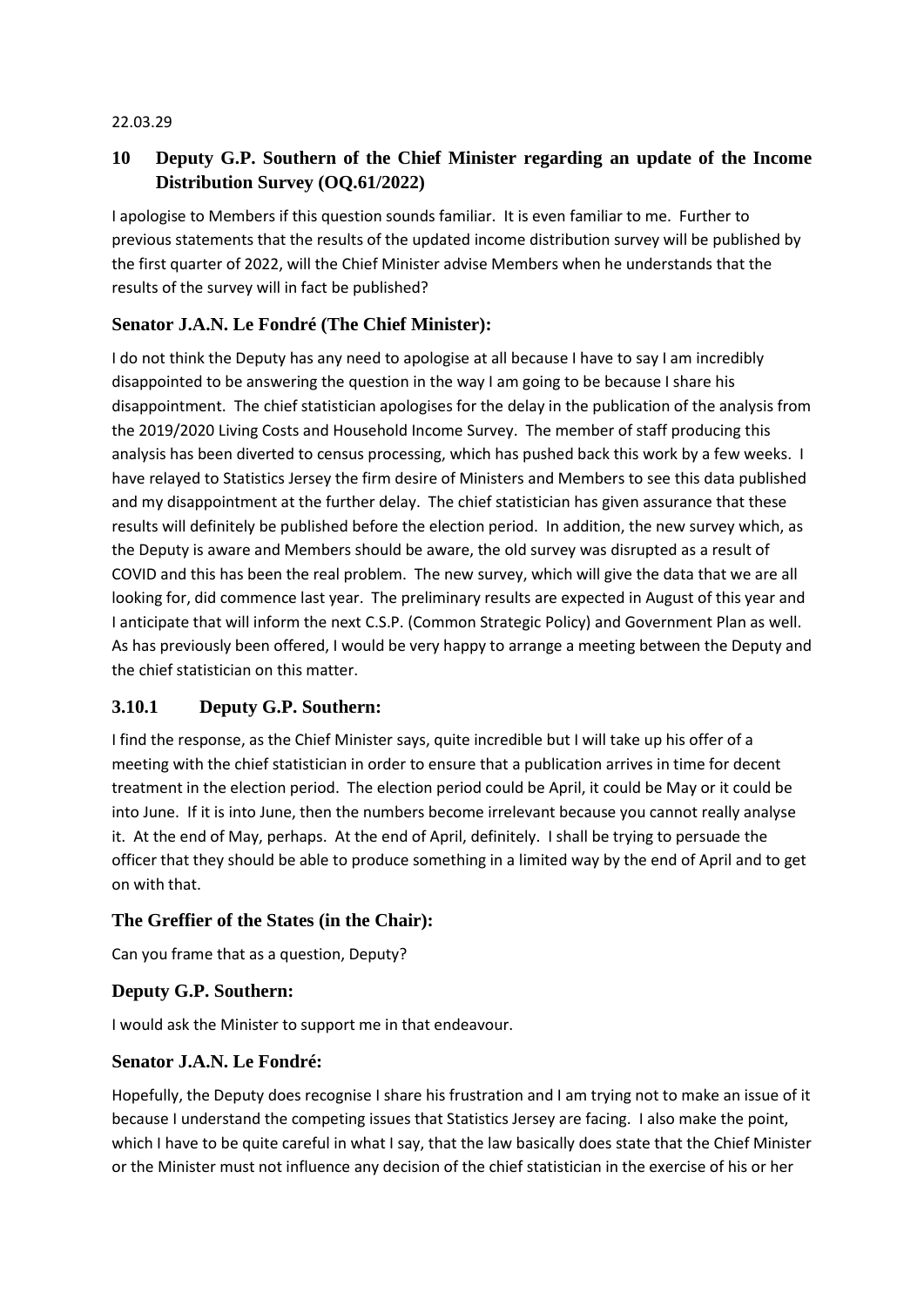#### 22.03.29

# **10 Deputy G.P. Southern of the Chief Minister regarding an update of the Income Distribution Survey (OQ.61/2022)**

I apologise to Members if this question sounds familiar. It is even familiar to me. Further to previous statements that the results of the updated income distribution survey will be published by the first quarter of 2022, will the Chief Minister advise Members when he understands that the results of the survey will in fact be published?

## **Senator J.A.N. Le Fondré (The Chief Minister):**

I do not think the Deputy has any need to apologise at all because I have to say I am incredibly disappointed to be answering the question in the way I am going to be because I share his disappointment. The chief statistician apologises for the delay in the publication of the analysis from the 2019/2020 Living Costs and Household Income Survey. The member of staff producing this analysis has been diverted to census processing, which has pushed back this work by a few weeks. I have relayed to Statistics Jersey the firm desire of Ministers and Members to see this data published and my disappointment at the further delay. The chief statistician has given assurance that these results will definitely be published before the election period. In addition, the new survey which, as the Deputy is aware and Members should be aware, the old survey was disrupted as a result of COVID and this has been the real problem. The new survey, which will give the data that we are all looking for, did commence last year. The preliminary results are expected in August of this year and I anticipate that will inform the next C.S.P. (Common Strategic Policy) and Government Plan as well. As has previously been offered, I would be very happy to arrange a meeting between the Deputy and the chief statistician on this matter.

### **3.10.1 Deputy G.P. Southern:**

I find the response, as the Chief Minister says, quite incredible but I will take up his offer of a meeting with the chief statistician in order to ensure that a publication arrives in time for decent treatment in the election period. The election period could be April, it could be May or it could be into June. If it is into June, then the numbers become irrelevant because you cannot really analyse it. At the end of May, perhaps. At the end of April, definitely. I shall be trying to persuade the officer that they should be able to produce something in a limited way by the end of April and to get on with that.

### **The Greffier of the States (in the Chair):**

Can you frame that as a question, Deputy?

### **Deputy G.P. Southern:**

I would ask the Minister to support me in that endeavour.

### **Senator J.A.N. Le Fondré:**

Hopefully, the Deputy does recognise I share his frustration and I am trying not to make an issue of it because I understand the competing issues that Statistics Jersey are facing. I also make the point, which I have to be quite careful in what I say, that the law basically does state that the Chief Minister or the Minister must not influence any decision of the chief statistician in the exercise of his or her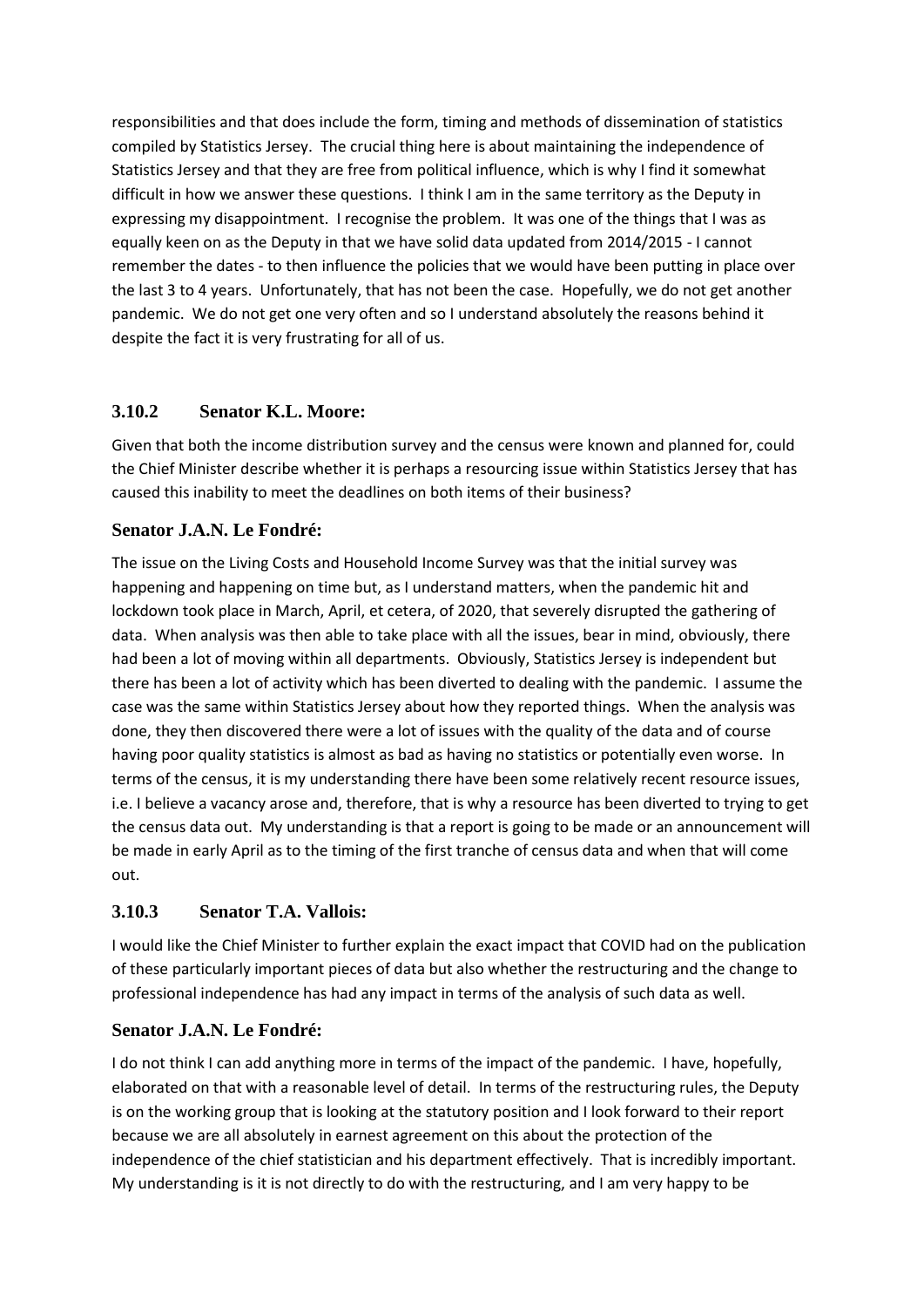responsibilities and that does include the form, timing and methods of dissemination of statistics compiled by Statistics Jersey. The crucial thing here is about maintaining the independence of Statistics Jersey and that they are free from political influence, which is why I find it somewhat difficult in how we answer these questions. I think I am in the same territory as the Deputy in expressing my disappointment. I recognise the problem. It was one of the things that I was as equally keen on as the Deputy in that we have solid data updated from 2014/2015 - I cannot remember the dates - to then influence the policies that we would have been putting in place over the last 3 to 4 years. Unfortunately, that has not been the case. Hopefully, we do not get another pandemic. We do not get one very often and so I understand absolutely the reasons behind it despite the fact it is very frustrating for all of us.

### **3.10.2 Senator K.L. Moore:**

Given that both the income distribution survey and the census were known and planned for, could the Chief Minister describe whether it is perhaps a resourcing issue within Statistics Jersey that has caused this inability to meet the deadlines on both items of their business?

### **Senator J.A.N. Le Fondré:**

The issue on the Living Costs and Household Income Survey was that the initial survey was happening and happening on time but, as I understand matters, when the pandemic hit and lockdown took place in March, April, et cetera, of 2020, that severely disrupted the gathering of data. When analysis was then able to take place with all the issues, bear in mind, obviously, there had been a lot of moving within all departments. Obviously, Statistics Jersey is independent but there has been a lot of activity which has been diverted to dealing with the pandemic. I assume the case was the same within Statistics Jersey about how they reported things. When the analysis was done, they then discovered there were a lot of issues with the quality of the data and of course having poor quality statistics is almost as bad as having no statistics or potentially even worse. In terms of the census, it is my understanding there have been some relatively recent resource issues, i.e. I believe a vacancy arose and, therefore, that is why a resource has been diverted to trying to get the census data out. My understanding is that a report is going to be made or an announcement will be made in early April as to the timing of the first tranche of census data and when that will come out.

# **3.10.3 Senator T.A. Vallois:**

I would like the Chief Minister to further explain the exact impact that COVID had on the publication of these particularly important pieces of data but also whether the restructuring and the change to professional independence has had any impact in terms of the analysis of such data as well.

### **Senator J.A.N. Le Fondré:**

I do not think I can add anything more in terms of the impact of the pandemic. I have, hopefully, elaborated on that with a reasonable level of detail. In terms of the restructuring rules, the Deputy is on the working group that is looking at the statutory position and I look forward to their report because we are all absolutely in earnest agreement on this about the protection of the independence of the chief statistician and his department effectively. That is incredibly important. My understanding is it is not directly to do with the restructuring, and I am very happy to be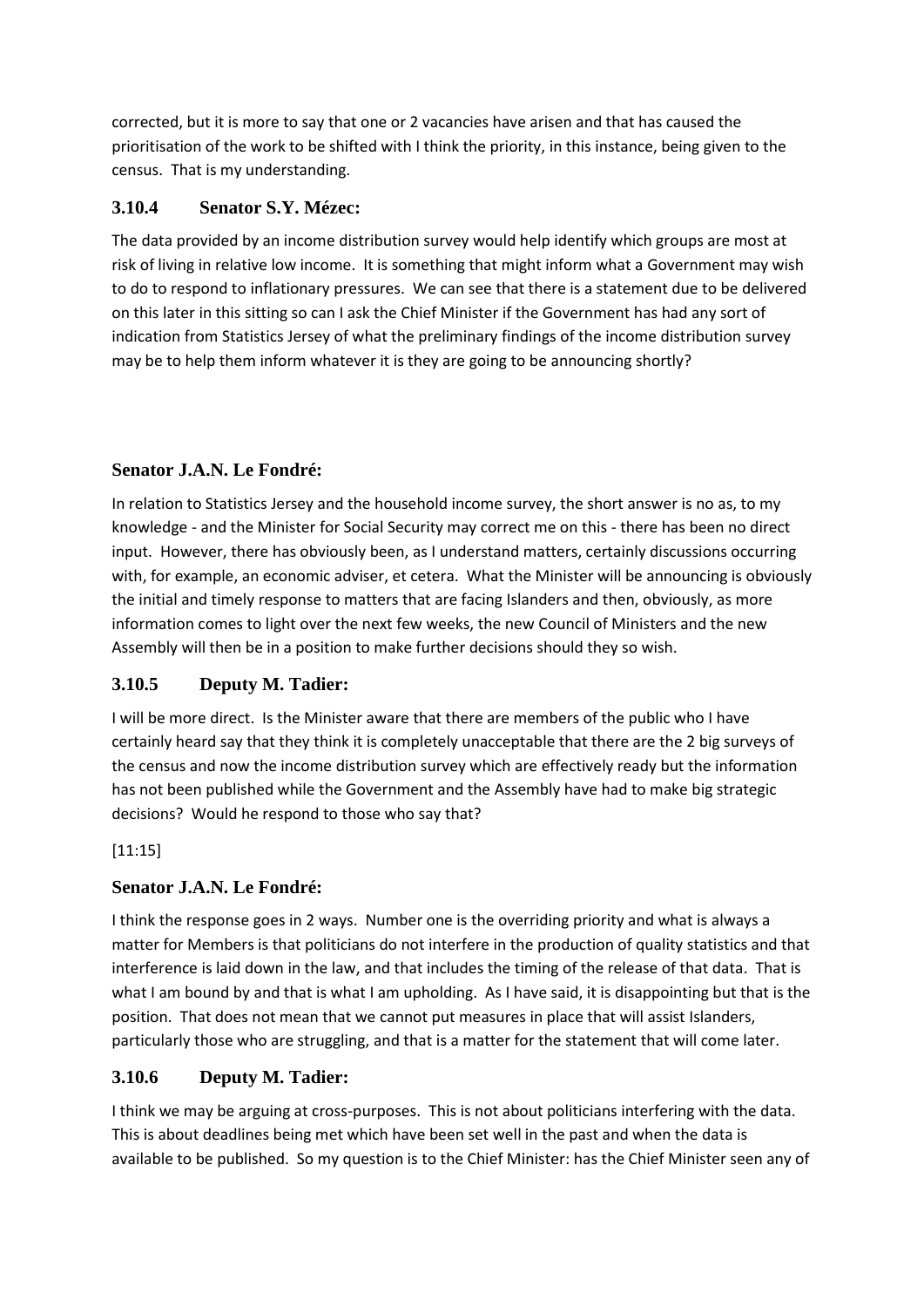corrected, but it is more to say that one or 2 vacancies have arisen and that has caused the prioritisation of the work to be shifted with I think the priority, in this instance, being given to the census. That is my understanding.

## **3.10.4 Senator S.Y. Mézec:**

The data provided by an income distribution survey would help identify which groups are most at risk of living in relative low income. It is something that might inform what a Government may wish to do to respond to inflationary pressures. We can see that there is a statement due to be delivered on this later in this sitting so can I ask the Chief Minister if the Government has had any sort of indication from Statistics Jersey of what the preliminary findings of the income distribution survey may be to help them inform whatever it is they are going to be announcing shortly?

### **Senator J.A.N. Le Fondré:**

In relation to Statistics Jersey and the household income survey, the short answer is no as, to my knowledge - and the Minister for Social Security may correct me on this - there has been no direct input. However, there has obviously been, as I understand matters, certainly discussions occurring with, for example, an economic adviser, et cetera. What the Minister will be announcing is obviously the initial and timely response to matters that are facing Islanders and then, obviously, as more information comes to light over the next few weeks, the new Council of Ministers and the new Assembly will then be in a position to make further decisions should they so wish.

# **3.10.5 Deputy M. Tadier:**

I will be more direct. Is the Minister aware that there are members of the public who I have certainly heard say that they think it is completely unacceptable that there are the 2 big surveys of the census and now the income distribution survey which are effectively ready but the information has not been published while the Government and the Assembly have had to make big strategic decisions? Would he respond to those who say that?

### [11:15]

# **Senator J.A.N. Le Fondré:**

I think the response goes in 2 ways. Number one is the overriding priority and what is always a matter for Members is that politicians do not interfere in the production of quality statistics and that interference is laid down in the law, and that includes the timing of the release of that data. That is what I am bound by and that is what I am upholding. As I have said, it is disappointing but that is the position. That does not mean that we cannot put measures in place that will assist Islanders, particularly those who are struggling, and that is a matter for the statement that will come later.

# **3.10.6 Deputy M. Tadier:**

I think we may be arguing at cross-purposes. This is not about politicians interfering with the data. This is about deadlines being met which have been set well in the past and when the data is available to be published. So my question is to the Chief Minister: has the Chief Minister seen any of